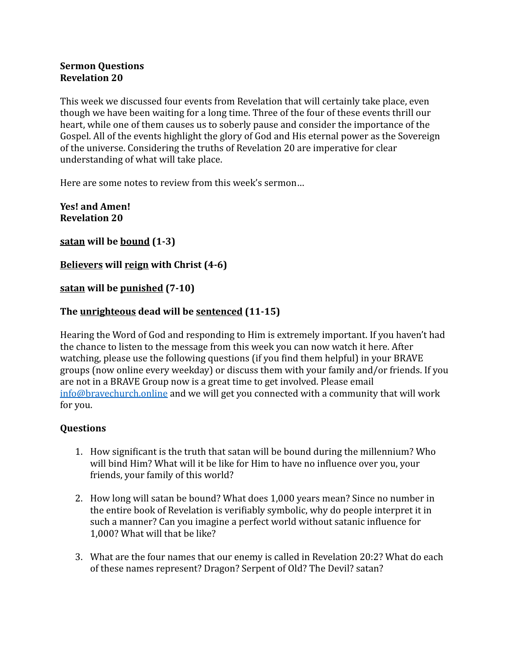## **Sermon Questions Revelation 20**

This week we discussed four events from Revelation that will certainly take place, even though we have been waiting for a long time. Three of the four of these events thrill our heart, while one of them causes us to soberly pause and consider the importance of the Gospel. All of the events highlight the glory of God and His eternal power as the Sovereign of the universe. Considering the truths of Revelation 20 are imperative for clear understanding of what will take place.

Here are some notes to review from this week's sermon...

**Yes! and Amen! Revelation 20**

```
satan will be bound (1-3)
```

```
Believers will reign with Christ (4-6)
```

```
satan will be punished (7-10)
```
## The <u>unrighteous</u> dead will be <u>sentenced</u> (11-15)

Hearing the Word of God and responding to Him is extremely important. If you haven't had the chance to listen to the message from this week you can now watch it here. After watching, please use the following questions (if you find them helpful) in your BRAVE groups (now online every weekday) or discuss them with your family and/or friends. If you are not in a BRAVE Group now is a great time to get involved. Please email  $info@bravechurch online and we will get you connected with a community that will work$ for you.

## **Questions**

- 1. How significant is the truth that satan will be bound during the millennium? Who will bind Him? What will it be like for Him to have no influence over you, your friends, your family of this world?
- 2. How long will satan be bound? What does 1,000 years mean? Since no number in the entire book of Revelation is verifiably symbolic, why do people interpret it in such a manner? Can you imagine a perfect world without satanic influence for 1,000? What will that be like?
- 3. What are the four names that our enemy is called in Revelation 20:2? What do each of these names represent? Dragon? Serpent of Old? The Devil? satan?